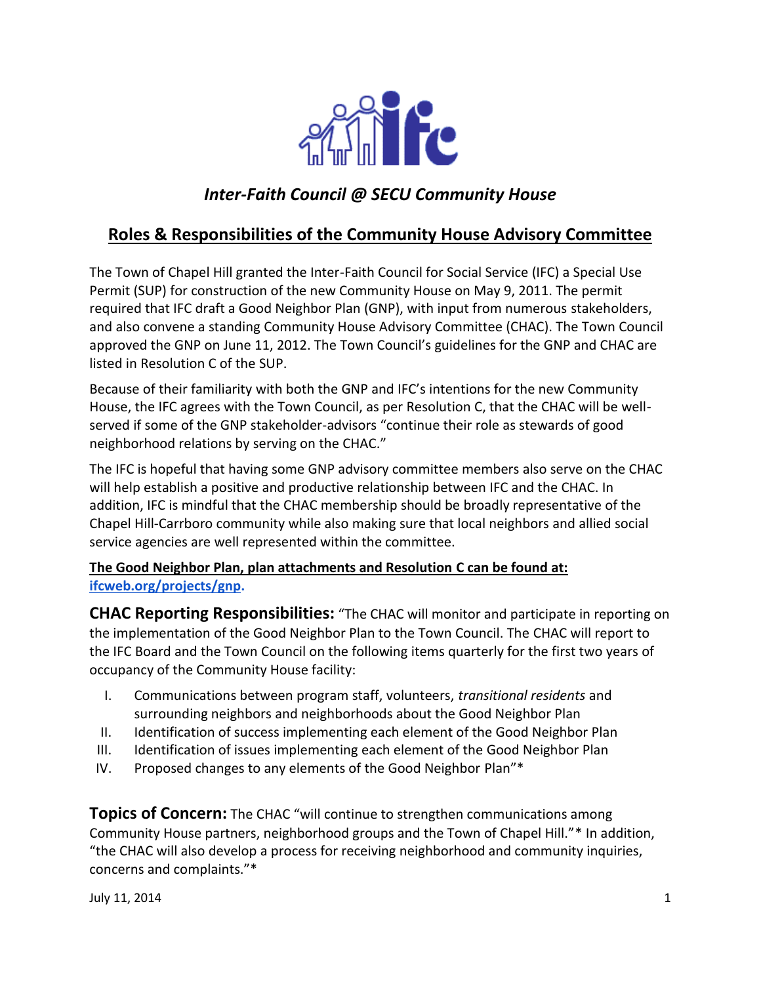

# *Inter-Faith Council @ SECU Community House*

## **Roles & Responsibilities of the Community House Advisory Committee**

The Town of Chapel Hill granted the Inter-Faith Council for Social Service (IFC) a Special Use Permit (SUP) for construction of the new Community House on May 9, 2011. The permit required that IFC draft a Good Neighbor Plan (GNP), with input from numerous stakeholders, and also convene a standing Community House Advisory Committee (CHAC). The Town Council approved the GNP on June 11, 2012. The Town Council's guidelines for the GNP and CHAC are listed in Resolution C of the SUP.

Because of their familiarity with both the GNP and IFC's intentions for the new Community House, the IFC agrees with the Town Council, as per Resolution C, that the CHAC will be wellserved if some of the GNP stakeholder-advisors "continue their role as stewards of good neighborhood relations by serving on the CHAC."

The IFC is hopeful that having some GNP advisory committee members also serve on the CHAC will help establish a positive and productive relationship between IFC and the CHAC. In addition, IFC is mindful that the CHAC membership should be broadly representative of the Chapel Hill-Carrboro community while also making sure that local neighbors and allied social service agencies are well represented within the committee.

### **The Good Neighbor Plan, plan attachments and Resolution C can be found at[:](http://www.ifcweb.org/projects/gnp) [ifcweb.org/projects/gnp.](http://www.ifcweb.org/projects/gnp)**

**CHAC Reporting Responsibilities:** "The CHAC will monitor and participate in reporting on the implementation of the Good Neighbor Plan to the Town Council. The CHAC will report to the IFC Board and the Town Council on the following items quarterly for the first two years of occupancy of the Community House facility:

- I. Communications between program staff, volunteers, *transitional residents* and surrounding neighbors and neighborhoods about the Good Neighbor Plan
- II. Identification of success implementing each element of the Good Neighbor Plan
- III. Identification of issues implementing each element of the Good Neighbor Plan
- IV. Proposed changes to any elements of the Good Neighbor Plan"\*

**Topics of Concern:** The CHAC "will continue to strengthen communications among Community House partners, neighborhood groups and the Town of Chapel Hill."\* In addition, "the CHAC will also develop a process for receiving neighborhood and community inquiries, concerns and complaints."\*